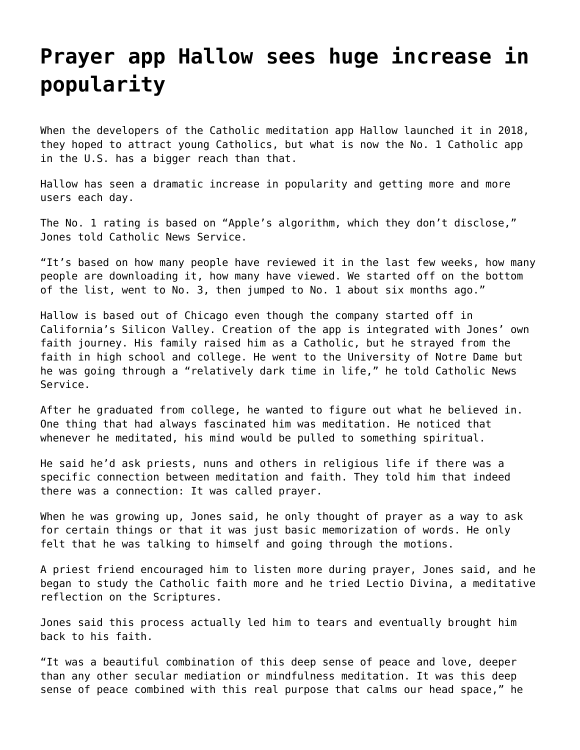## **[Prayer app Hallow sees huge increase in](https://grandinmedia.ca/prayer-app-hallow-sees-huge-increase-in-popularity/) [popularity](https://grandinmedia.ca/prayer-app-hallow-sees-huge-increase-in-popularity/)**

When the developers of the Catholic meditation app Hallow launched it in 2018, they hoped to attract young Catholics, but what is now the No. 1 Catholic app in the U.S. has a bigger reach than that.

Hallow has seen a dramatic increase in popularity and getting more and more users each day.

The No. 1 rating is based on "Apple's algorithm, which they don't disclose," Jones told Catholic News Service.

"It's based on how many people have reviewed it in the last few weeks, how many people are downloading it, how many have viewed. We started off on the bottom of the list, went to No. 3, then jumped to No. 1 about six months ago."

[Hallow](https://hallow.com/) is based out of Chicago even though the company started off in California's Silicon Valley. Creation of the app is integrated with Jones' own faith journey. His family raised him as a Catholic, but he strayed from the faith in high school and college. He went to the University of Notre Dame but he was going through a "relatively dark time in life," he told Catholic News Service.

After he graduated from college, he wanted to figure out what he believed in. One thing that had always fascinated him was meditation. He noticed that whenever he meditated, his mind would be pulled to something spiritual.

He said he'd ask priests, nuns and others in religious life if there was a specific connection between meditation and faith. They told him that indeed there was a connection: It was called prayer.

When he was growing up, Jones said, he only thought of prayer as a way to ask for certain things or that it was just basic memorization of words. He only felt that he was talking to himself and going through the motions.

A priest friend encouraged him to listen more during prayer, Jones said, and he began to study the Catholic faith more and he tried Lectio Divina, a meditative reflection on the Scriptures.

Jones said this process actually led him to tears and eventually brought him back to his faith.

"It was a beautiful combination of this deep sense of peace and love, deeper than any other secular mediation or mindfulness meditation. It was this deep sense of peace combined with this real purpose that calms our head space," he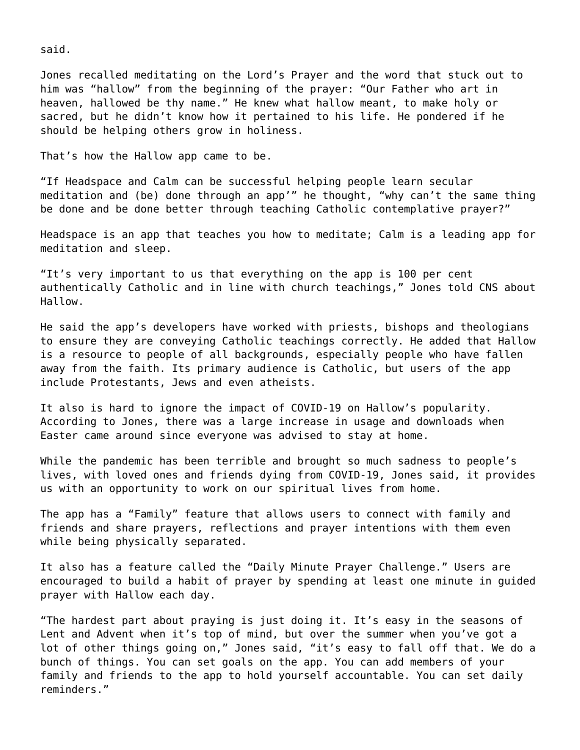said.

Jones recalled meditating on the Lord's Prayer and the word that stuck out to him was "hallow" from the beginning of the prayer: "Our Father who art in heaven, hallowed be thy name." He knew what hallow meant, to make holy or sacred, but he didn't know how it pertained to his life. He pondered if he should be helping others grow in holiness.

That's how the Hallow app came to be.

"If Headspace and Calm can be successful helping people learn secular meditation and (be) done through an app'" he thought, "why can't the same thing be done and be done better through teaching Catholic contemplative prayer?"

Headspace is an app that teaches you how to meditate; Calm is a leading app for meditation and sleep.

"It's very important to us that everything on the app is 100 per cent authentically Catholic and in line with church teachings," Jones told CNS about Hallow.

He said the app's developers have worked with priests, bishops and theologians to ensure they are conveying Catholic teachings correctly. He added that Hallow is a resource to people of all backgrounds, especially people who have fallen away from the faith. Its primary audience is Catholic, but users of the app include Protestants, Jews and even atheists.

It also is hard to ignore the impact of COVID-19 on Hallow's popularity. According to Jones, there was a large increase in usage and downloads when Easter came around since everyone was advised to stay at home.

While the pandemic has been terrible and brought so much sadness to people's lives, with loved ones and friends dying from COVID-19, Jones said, it provides us with an opportunity to work on our spiritual lives from home.

The app has a "Family" feature that allows users to connect with family and friends and share prayers, reflections and prayer intentions with them even while being physically separated.

It also has a feature called the "Daily Minute Prayer Challenge." Users are encouraged to build a habit of prayer by spending at least one minute in guided prayer with Hallow each day.

"The hardest part about praying is just doing it. It's easy in the seasons of Lent and Advent when it's top of mind, but over the summer when you've got a lot of other things going on," Jones said, "it's easy to fall off that. We do a bunch of things. You can set goals on the app. You can add members of your family and friends to the app to hold yourself accountable. You can set daily reminders."